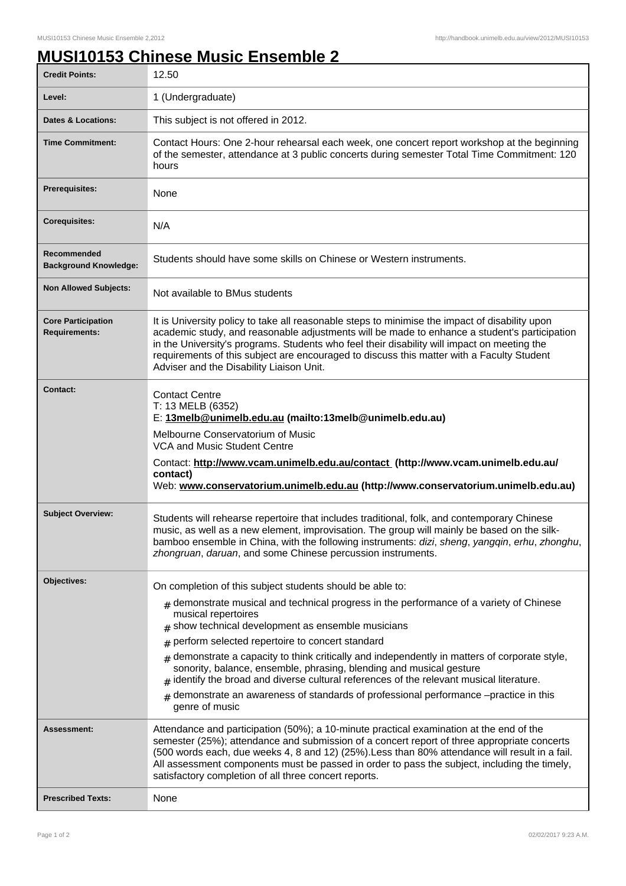## **MUSI10153 Chinese Music Ensemble 2**

| <b>Credit Points:</b>                             | 12.50                                                                                                                                                                                                                                                                                                                                                                                                                                                                                                                                                                                                      |
|---------------------------------------------------|------------------------------------------------------------------------------------------------------------------------------------------------------------------------------------------------------------------------------------------------------------------------------------------------------------------------------------------------------------------------------------------------------------------------------------------------------------------------------------------------------------------------------------------------------------------------------------------------------------|
| Level:                                            | 1 (Undergraduate)                                                                                                                                                                                                                                                                                                                                                                                                                                                                                                                                                                                          |
| <b>Dates &amp; Locations:</b>                     | This subject is not offered in 2012.                                                                                                                                                                                                                                                                                                                                                                                                                                                                                                                                                                       |
| <b>Time Commitment:</b>                           | Contact Hours: One 2-hour rehearsal each week, one concert report workshop at the beginning<br>of the semester, attendance at 3 public concerts during semester Total Time Commitment: 120<br>hours                                                                                                                                                                                                                                                                                                                                                                                                        |
| <b>Prerequisites:</b>                             | None                                                                                                                                                                                                                                                                                                                                                                                                                                                                                                                                                                                                       |
| <b>Corequisites:</b>                              | N/A                                                                                                                                                                                                                                                                                                                                                                                                                                                                                                                                                                                                        |
| Recommended<br><b>Background Knowledge:</b>       | Students should have some skills on Chinese or Western instruments.                                                                                                                                                                                                                                                                                                                                                                                                                                                                                                                                        |
| <b>Non Allowed Subjects:</b>                      | Not available to BMus students                                                                                                                                                                                                                                                                                                                                                                                                                                                                                                                                                                             |
| <b>Core Participation</b><br><b>Requirements:</b> | It is University policy to take all reasonable steps to minimise the impact of disability upon<br>academic study, and reasonable adjustments will be made to enhance a student's participation<br>in the University's programs. Students who feel their disability will impact on meeting the<br>requirements of this subject are encouraged to discuss this matter with a Faculty Student<br>Adviser and the Disability Liaison Unit.                                                                                                                                                                     |
| Contact:                                          | <b>Contact Centre</b><br>T: 13 MELB (6352)<br>E: 13melb@unimelb.edu.au (mailto:13melb@unimelb.edu.au)<br>Melbourne Conservatorium of Music<br><b>VCA and Music Student Centre</b><br>Contact: http://www.vcam.unimelb.edu.au/contact (http://www.vcam.unimelb.edu.au/<br>contact)<br>Web: www.conservatorium.unimelb.edu.au (http://www.conservatorium.unimelb.edu.au)                                                                                                                                                                                                                                     |
| <b>Subject Overview:</b>                          | Students will rehearse repertoire that includes traditional, folk, and contemporary Chinese<br>music, as well as a new element, improvisation. The group will mainly be based on the silk-<br>bamboo ensemble in China, with the following instruments: dizi, sheng, yangqin, erhu, zhonghu,<br>zhongruan, daruan, and some Chinese percussion instruments.                                                                                                                                                                                                                                                |
| Objectives:                                       | On completion of this subject students should be able to:                                                                                                                                                                                                                                                                                                                                                                                                                                                                                                                                                  |
|                                                   | $_{\#}$ demonstrate musical and technical progress in the performance of a variety of Chinese<br>musical repertoires<br>$#$ show technical development as ensemble musicians<br>perform selected repertoire to concert standard<br>#<br>demonstrate a capacity to think critically and independently in matters of corporate style,<br>#<br>sonority, balance, ensemble, phrasing, blending and musical gesture<br>identify the broad and diverse cultural references of the relevant musical literature.<br>#<br>demonstrate an awareness of standards of professional performance -practice in this<br># |
|                                                   | genre of music                                                                                                                                                                                                                                                                                                                                                                                                                                                                                                                                                                                             |
| Assessment:                                       | Attendance and participation (50%); a 10-minute practical examination at the end of the<br>semester (25%); attendance and submission of a concert report of three appropriate concerts<br>(500 words each, due weeks 4, 8 and 12) (25%). Less than 80% attendance will result in a fail.<br>All assessment components must be passed in order to pass the subject, including the timely,<br>satisfactory completion of all three concert reports.                                                                                                                                                          |
| <b>Prescribed Texts:</b>                          | None                                                                                                                                                                                                                                                                                                                                                                                                                                                                                                                                                                                                       |